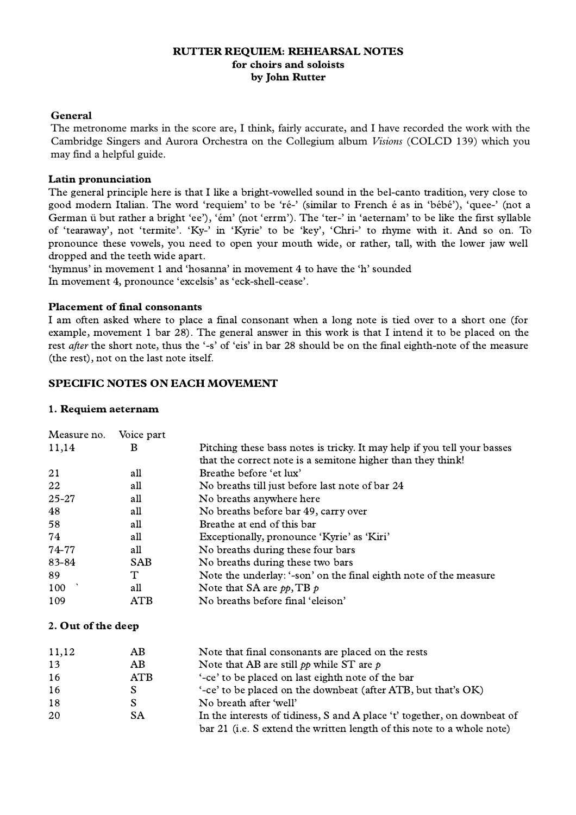## RUTTER REQUIEM: REHEARSAL NOTES for choirs and soloists by John Rutter

### **General**

The metronome marks in the score are, I think, fairly accurate, and I have recorded the work with the Cambridge Singers and Aurora Orchestra on the Collegium album *Visions* (COLCD 139) which you may find a helpful guide.

### Latin pronunciation

The general principle here is that I like a bright-vowelled sound in the bel-canto tradition, very close to good modern Italian. The word 'requiem' to be 'ré-' (similar to French é as in 'bébé'), 'quee-' (not a German ü but rather a bright 'ee'), 'ém' (not 'errm'). The 'ter-' in 'aeternam' to be like the first syllable of 'tearaway', not 'termite'. 'Ky-' in 'Kyrie' to be 'key', 'Chri-' to rhyme with it. And so on. To pronounce these vowels, you need to open your mouth wide, or rather, tall, with the lower jaw well dropped and the teeth wide apart.

'hymnus' in movement 1 and 'hosanna' in movement 4 to have the 'h' sounded In movement 4, pronounce 'excelsis' as 'eck-shell-cease'.

#### Placement of final consonants

I am often asked where to place a final consonant when a long note is tied over to a short one (for example, movement 1 bar 28). The general answer in this work is that I intend it to be placed on the rest after the short note, thus the '-s' of 'eis' in bar 28 should be on the final eighth-note of the measure (the rest), not on the last note itself.

# SPECIFIC NOTES ON EACH MOVEMENT

## 1. Requiem aeternam

| Measure no. | Voice part |                                                                          |
|-------------|------------|--------------------------------------------------------------------------|
| 11,14       | В          | Pitching these bass notes is tricky. It may help if you tell your basses |
|             |            | that the correct note is a semitone higher than they think!              |
| 21          | all        | Breathe before 'et lux'                                                  |
| 22          | all        | No breaths till just before last note of bar 24                          |
| $25 - 27$   | all        | No breaths anywhere here                                                 |
| 48          | all        | No breaths before bar 49, carry over                                     |
| 58          | all        | Breathe at end of this bar                                               |
| 74          | all        | Exceptionally, pronounce 'Kyrie' as 'Kiri'                               |
| 74-77       | all        | No breaths during these four bars                                        |
| 83-84       | <b>SAB</b> | No breaths during these two bars                                         |
| 89          | Т          | Note the underlay: '-son' on the final eighth note of the measure        |
| 100         | all        | Note that SA are $pp$ , TB $p$                                           |
| 109         | ATB        | No breaths before final 'eleison'                                        |

# 2. Out of the deep

| 11,12 | AВ  | Note that final consonants are placed on the rests                       |
|-------|-----|--------------------------------------------------------------------------|
| 13    | AВ  | Note that AB are still $pp$ while ST are $p$                             |
| -16   | ATB | '-ce' to be placed on last eighth note of the bar                        |
| 16    |     | '-ce' to be placed on the downbeat (after ATB, but that's OK)            |
| 18    |     | No breath after 'well'                                                   |
| 20    | SА  | In the interests of tidiness, S and A place 't' together, on downbeat of |
|       |     | bar 21 (i.e. S extend the written length of this note to a whole note)   |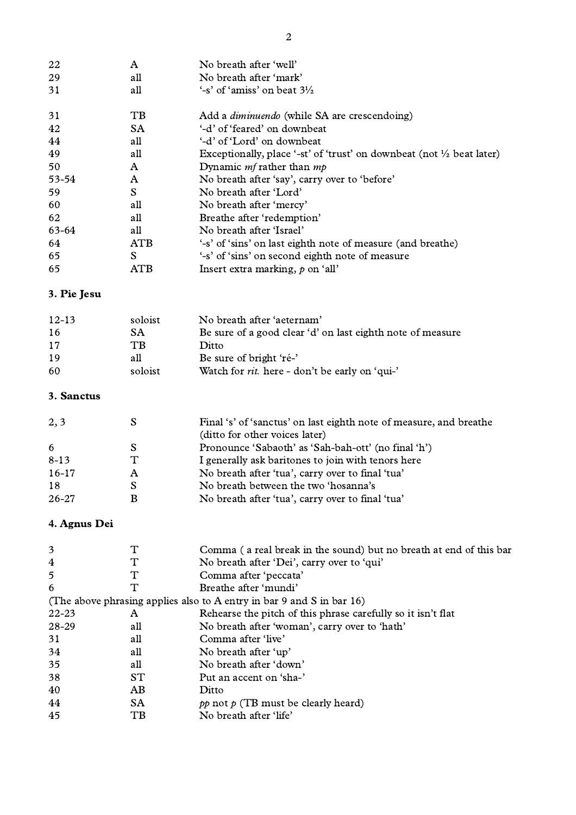| 22    | A           | No breath after 'well'                                                           |
|-------|-------------|----------------------------------------------------------------------------------|
| 29    | all         | No breath after 'mark'                                                           |
| 31    | all         | $\sim$ s' of 'amiss' on beat $3\frac{1}{2}$                                      |
| 31    | TB          | Add a <i>diminuendo</i> (while SA are crescendoing)                              |
| 42    | <b>SA</b>   | '-d' of 'feared' on downbeat                                                     |
| 44    | all         | '-d' of 'Lord' on downbeat                                                       |
| 49    | all         | Exceptionally, place '-st' of 'trust' on downbeat (not $\frac{1}{2}$ beat later) |
| 50    | A           | Dynamic <i>mf</i> rather than $mp$                                               |
| 53-54 | A           | No breath after 'say', carry over to 'before'                                    |
| 59    | S           | No breath after 'Lord'                                                           |
| 60    | all         | No breath after 'mercy'                                                          |
| 62    | all         | Breathe after 'redemption'                                                       |
| 63-64 | all         | No breath after 'Israel'                                                         |
| 64    | ATB         | '-s' of 'sins' on last eighth note of measure (and breathe)                      |
| 65    | S           | '-s' of 'sins' on second eighth note of measure                                  |
| 65    | ${\rm ATB}$ | Insert extra marking, $p$ on 'all'                                               |
|       |             |                                                                                  |

# 3. Pie Jesu

| $12 - 13$ | soloist | No breath after 'aeternam'                                 |
|-----------|---------|------------------------------------------------------------|
| -16       | SА      | Be sure of a good clear 'd' on last eighth note of measure |
| -17       | TR      | Ditto                                                      |
| -19       | all     | Be sure of bright 'ré-'                                    |
| -60       | soloist | Watch for <i>rit</i> . here - don't be early on 'qui-'     |

# 3. Sanctus

| 2, 3      |   | Final 's' of 'sanctus' on last eighth note of measure, and breathe |
|-----------|---|--------------------------------------------------------------------|
|           |   | (ditto for other voices later)                                     |
| 6         |   | Pronounce 'Sabaoth' as 'Sah-bah-ott' (no final 'h')                |
| $8 - 13$  | T | I generally ask baritones to join with tenors here                 |
| $16-17$   | A | No breath after 'tua', carry over to final 'tua'                   |
| 18        |   | No breath between the two 'hosanna's                               |
| $26 - 27$ | B | No breath after 'tua', carry over to final 'tua'                   |

# 4. Agnus Dei

| 3         |           | Comma (a real break in the sound) but no breath at end of this bar       |
|-----------|-----------|--------------------------------------------------------------------------|
| 4         |           | No breath after 'Dei', carry over to 'qui'                               |
| 5         |           | Comma after 'peccata'                                                    |
| 6         |           | Breathe after 'mundi'                                                    |
|           |           | (The above phrasing applies also to A entry in bar 9 and S in bar $16$ ) |
| $22 - 23$ | A         | Rehearse the pitch of this phrase carefully so it isn't flat             |
| 28-29     | all       | No breath after 'woman', carry over to 'hath'                            |
| 31        | all       | Comma after 'live'                                                       |
| 34        | all       | No breath after 'up'                                                     |
| 35        | all       | No breath after 'down'                                                   |
| 38        | ST        | Put an accent on 'sha-'                                                  |
| 40        | AB        | Ditto                                                                    |
| 44        | <b>SA</b> | $pp$ not $p$ (TB must be clearly heard)                                  |
| 45        | TВ        | No breath after 'life'                                                   |
|           |           |                                                                          |